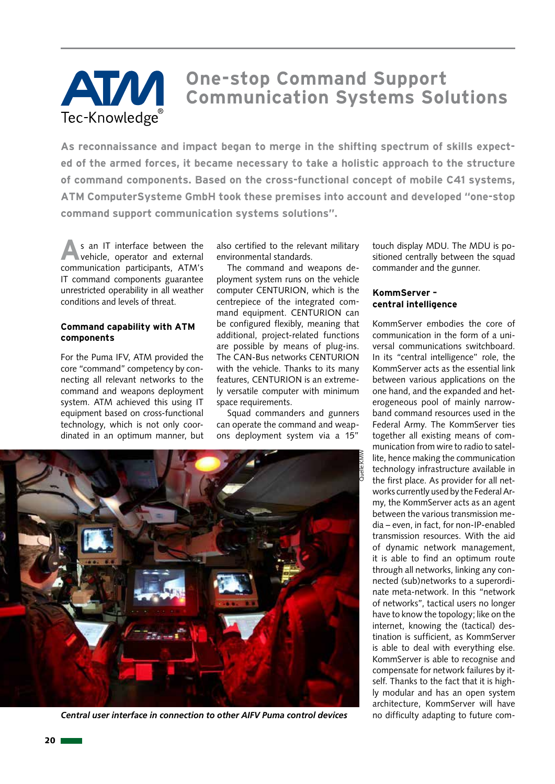# **One-stop Command Support Communication Systems Solutions** Tec-Knowledge

**As reconnaissance and impact began to merge in the shifting spectrum of skills expected of the armed forces, it became necessary to take a holistic approach to the structure of command components. Based on the cross-functional concept of mobile C41 systems, ATM ComputerSysteme GmbH took these premises into account and developed "one-stop command support communication systems solutions".** 

**A**s an IT interface between the vehicle, operator and external communication participants, ATM's IT command components guarantee unrestricted operability in all weather conditions and levels of threat.

## **Command capability with ATM components**

For the Puma IFV, ATM provided the core "command" competency by connecting all relevant networks to the command and weapons deployment system. ATM achieved this using IT equipment based on cross-functional technology, which is not only coordinated in an optimum manner, but

also certified to the relevant military environmental standards.

The command and weapons deployment system runs on the vehicle computer CENTURION, which is the centrepiece of the integrated command equipment. CENTURION can be configured flexibly, meaning that additional, project-related functions are possible by means of plug-ins. The CAN-Bus networks CENTURION with the vehicle. Thanks to its many features, CENTURION is an extremely versatile computer with minimum space requirements.

Squad commanders and gunners can operate the command and weapons deployment system via a 15"



*Central user interface in connection to other AIFV Puma control devices*

touch display MDU. The MDU is positioned centrally between the squad commander and the gunner.

#### **KommServer – central intelligence**

KommServer embodies the core of communication in the form of a universal communications switchboard. In its "central intelligence" role, the KommServer acts as the essential link between various applications on the one hand, and the expanded and heterogeneous pool of mainly narrowband command resources used in the Federal Army. The KommServer ties together all existing means of communication from wire to radio to satellite, hence making the communication technology infrastructure available in the first place. As provider for all networks currently used by the Federal Army, the KommServer acts as an agent between the various transmission media – even, in fact, for non-IP-enabled transmission resources. With the aid of dynamic network management, it is able to find an optimum route through all networks, linking any connected (sub)networks to a superordinate meta-network. In this "network of networks", tactical users no longer have to know the topology; like on the internet, knowing the (tactical) destination is sufficient, as KommServer is able to deal with everything else. KommServer is able to recognise and compensate for network failures by itself. Thanks to the fact that it is highly modular and has an open system architecture, KommServer will have no difficulty adapting to future com-